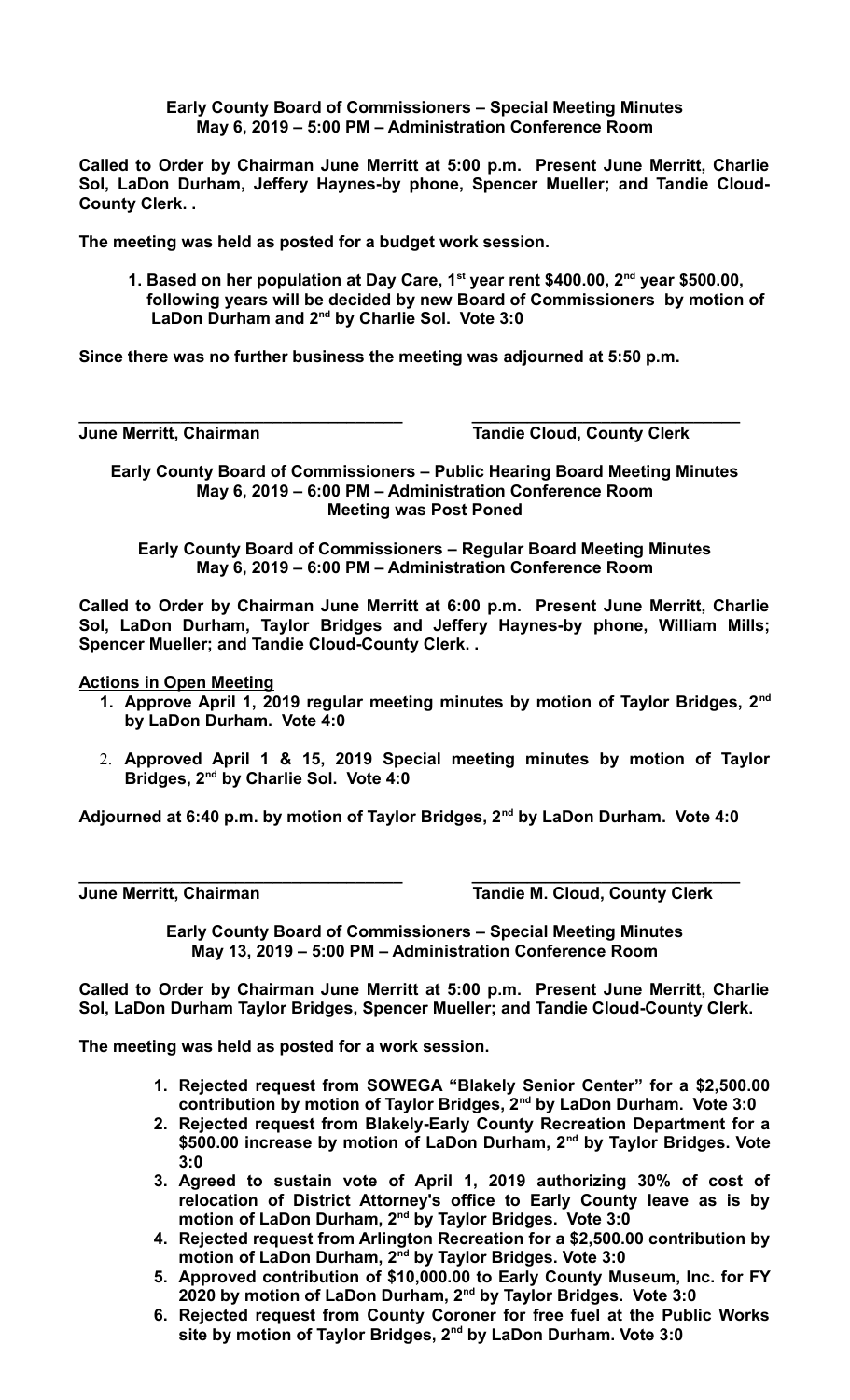**Early County Board of Commissioners – Special Meeting Minutes May 6, 2019 – 5:00 PM – Administration Conference Room**

**Called to Order by Chairman June Merritt at 5:00 p.m. Present June Merritt, Charlie Sol, LaDon Durham, Jeffery Haynes-by phone, Spencer Mueller; and Tandie Cloud-County Clerk. .** 

**The meeting was held as posted for a budget work session.**

**1. Based on her population at Day Care, 1st year rent \$400.00, 2nd year \$500.00, following years will be decided by new Board of Commissioners by motion of LaDon Durham and 2nd by Charlie Sol. Vote 3:0**

**Since there was no further business the meeting was adjourned at 5:50 p.m.**

**June Merritt, Chairman Community Cloud, County Clerk** 

**Early County Board of Commissioners – Public Hearing Board Meeting Minutes May 6, 2019 – 6:00 PM – Administration Conference Room Meeting was Post Poned**

**\_\_\_\_\_\_\_\_\_\_\_\_\_\_\_\_\_\_\_\_\_\_\_\_\_\_\_\_\_\_\_\_\_\_\_ \_\_\_\_\_\_\_\_\_\_\_\_\_\_\_\_\_\_\_\_\_\_\_\_\_\_\_\_\_**

**Early County Board of Commissioners – Regular Board Meeting Minutes May 6, 2019 – 6:00 PM – Administration Conference Room**

**Called to Order by Chairman June Merritt at 6:00 p.m. Present June Merritt, Charlie Sol, LaDon Durham, Taylor Bridges and Jeffery Haynes-by phone, William Mills; Spencer Mueller; and Tandie Cloud-County Clerk. .** 

**Actions in Open Meeting**

- **1. Approve April 1, 2019 regular meeting minutes by motion of Taylor Bridges, 2nd by LaDon Durham. Vote 4:0**
- 2. **Approved April 1 & 15, 2019 Special meeting minutes by motion of Taylor Bridges, 2nd by Charlie Sol. Vote 4:0**

**Adjourned at 6:40 p.m. by motion of Taylor Bridges, 2nd by LaDon Durham. Vote 4:0**

**\_\_\_\_\_\_\_\_\_\_\_\_\_\_\_\_\_\_\_\_\_\_\_\_\_\_\_\_\_\_\_\_\_\_\_ \_\_\_\_\_\_\_\_\_\_\_\_\_\_\_\_\_\_\_\_\_\_\_\_\_\_\_\_\_ June Merritt, Chairman Tandie M. Cloud, County Clerk** 

> **Early County Board of Commissioners – Special Meeting Minutes May 13, 2019 – 5:00 PM – Administration Conference Room**

**Called to Order by Chairman June Merritt at 5:00 p.m. Present June Merritt, Charlie Sol, LaDon Durham Taylor Bridges, Spencer Mueller; and Tandie Cloud-County Clerk.** 

**The meeting was held as posted for a work session.**

- **1. Rejected request from SOWEGA "Blakely Senior Center" for a \$2,500.00 contribution by motion of Taylor Bridges, 2nd by LaDon Durham. Vote 3:0**
- **2. Rejected request from Blakely-Early County Recreation Department for a \$500.00 increase by motion of LaDon Durham, 2nd by Taylor Bridges. Vote 3:0**
- **3. Agreed to sustain vote of April 1, 2019 authorizing 30% of cost of relocation of District Attorney's office to Early County leave as is by motion of LaDon Durham, 2nd by Taylor Bridges. Vote 3:0**
- **4. Rejected request from Arlington Recreation for a \$2,500.00 contribution by motion of LaDon Durham, 2nd by Taylor Bridges. Vote 3:0**
- **5. Approved contribution of \$10,000.00 to Early County Museum, Inc. for FY 2020 by motion of LaDon Durham, 2nd by Taylor Bridges. Vote 3:0**
- **6. Rejected request from County Coroner for free fuel at the Public Works site by motion of Taylor Bridges, 2nd by LaDon Durham. Vote 3:0**